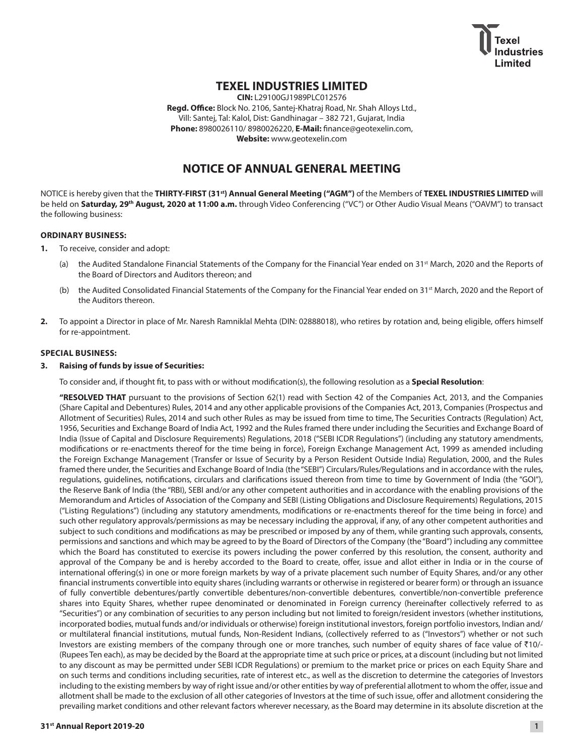

# **TEXEL INDUSTRIES LIMITED**

**CIN:** L29100GJ1989PLC012576 **Regd. Office:** Block No. 2106, Santej-Khatraj Road, Nr. Shah Alloys Ltd., Vill: Santej, Tal: Kalol, Dist: Gandhinagar – 382 721, Gujarat, India **Phone:** 8980026110/ 8980026220, **E-Mail:** [finance@geotexelin.com](mailto:finance@geotexelin.com), **Website:** <www.geotexelin.com>

# **NOTICE OF ANNUAL GENERAL MEETING**

NOTICE is hereby given that the **THIRTY-FIRST (31st) Annual General Meeting ("AGM")** of the Members of **TEXEL INDUSTRIES LIMITED** will be held on **Saturday, 29th August, 2020 at 11:00 a.m.** through Video Conferencing ("VC") or Other Audio Visual Means ("OAVM") to transact the following business:

# **ORDINARY BUSINESS:**

- **1.** To receive, consider and adopt:
	- (a) the Audited Standalone Financial Statements of the Company for the Financial Year ended on 31<sup>st</sup> March, 2020 and the Reports of the Board of Directors and Auditors thereon; and
	- (b) the Audited Consolidated Financial Statements of the Company for the Financial Year ended on 31<sup>st</sup> March, 2020 and the Report of the Auditors thereon.
- **2.** To appoint a Director in place of Mr. Naresh Ramniklal Mehta (DIN: 02888018), who retires by rotation and, being eligible, offers himself for re-appointment.

# **SPECIAL BUSINESS:**

# **3. Raising of funds by issue of Securities:**

To consider and, if thought fit, to pass with or without modification(s), the following resolution as a **Special Resolution**:

 **"RESOLVED THAT** pursuant to the provisions of Section 62(1) read with Section 42 of the Companies Act, 2013, and the Companies (Share Capital and Debentures) Rules, 2014 and any other applicable provisions of the Companies Act, 2013, Companies (Prospectus and Allotment of Securities) Rules, 2014 and such other Rules as may be issued from time to time, The Securities Contracts (Regulation) Act, 1956, Securities and Exchange Board of India Act, 1992 and the Rules framed there under including the Securities and Exchange Board of India (Issue of Capital and Disclosure Requirements) Regulations, 2018 ("SEBI ICDR Regulations") (including any statutory amendments, modifications or re-enactments thereof for the time being in force), Foreign Exchange Management Act, 1999 as amended including the Foreign Exchange Management (Transfer or Issue of Security by a Person Resident Outside India) Regulation, 2000, and the Rules framed there under, the Securities and Exchange Board of India (the "SEBI") Circulars/Rules/Regulations and in accordance with the rules, regulations, guidelines, notifications, circulars and clarifications issued thereon from time to time by Government of India (the "GOI"), the Reserve Bank of India (the "RBI), SEBI and/or any other competent authorities and in accordance with the enabling provisions of the Memorandum and Articles of Association of the Company and SEBI (Listing Obligations and Disclosure Requirements) Regulations, 2015 ("Listing Regulations") (including any statutory amendments, modifications or re-enactments thereof for the time being in force) and such other regulatory approvals/permissions as may be necessary including the approval, if any, of any other competent authorities and subject to such conditions and modifications as may be prescribed or imposed by any of them, while granting such approvals, consents, permissions and sanctions and which may be agreed to by the Board of Directors of the Company (the "Board") including any committee which the Board has constituted to exercise its powers including the power conferred by this resolution, the consent, authority and approval of the Company be and is hereby accorded to the Board to create, offer, issue and allot either in India or in the course of international offering(s) in one or more foreign markets by way of a private placement such number of Equity Shares, and/or any other financial instruments convertible into equity shares (including warrants or otherwise in registered or bearer form) or through an issuance of fully convertible debentures/partly convertible debentures/non-convertible debentures, convertible/non-convertible preference shares into Equity Shares, whether rupee denominated or denominated in Foreign currency (hereinafter collectively referred to as "Securities") or any combination of securities to any person including but not limited to foreign/resident investors (whether institutions, incorporated bodies, mutual funds and/or individuals or otherwise) foreign institutional investors, foreign portfolio investors, Indian and/ or multilateral financial institutions, mutual funds, Non-Resident Indians, (collectively referred to as ("Investors") whether or not such Investors are existing members of the company through one or more tranches, such number of equity shares of face value of `10/- (Rupees Ten each), as may be decided by the Board at the appropriate time at such price or prices, at a discount (including but not limited to any discount as may be permitted under SEBI ICDR Regulations) or premium to the market price or prices on each Equity Share and on such terms and conditions including securities, rate of interest etc., as well as the discretion to determine the categories of Investors including to the existing members by way of right issue and/or other entities by way of preferential allotment to whom the offer, issue and allotment shall be made to the exclusion of all other categories of Investors at the time of such issue, offer and allotment considering the prevailing market conditions and other relevant factors wherever necessary, as the Board may determine in its absolute discretion at the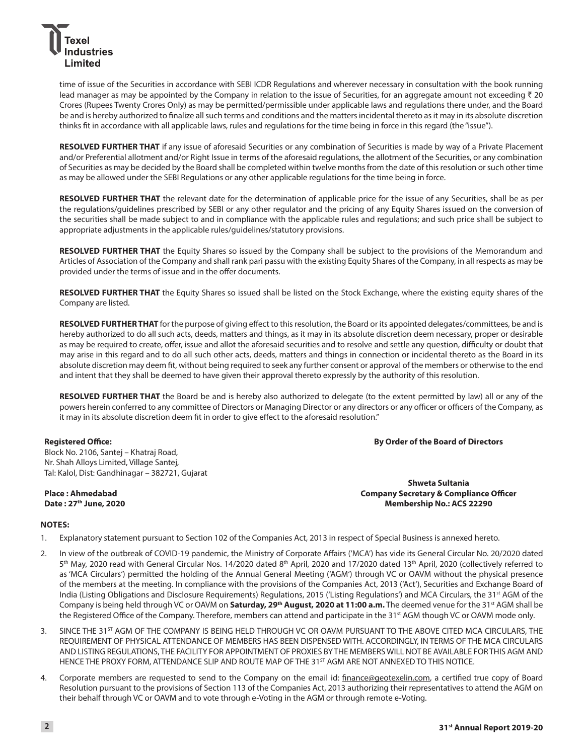

time of issue of the Securities in accordance with SEBI ICDR Regulations and wherever necessary in consultation with the book running lead manager as may be appointed by the Company in relation to the issue of Securities, for an aggregate amount not exceeding  $\bar{z}$  20 Crores (Rupees Twenty Crores Only) as may be permitted/permissible under applicable laws and regulations there under, and the Board be and is hereby authorized to finalize all such terms and conditions and the matters incidental thereto as it may in its absolute discretion thinks fit in accordance with all applicable laws, rules and regulations for the time being in force in this regard (the "issue").

**RESOLVED FURTHER THAT** if any issue of aforesaid Securities or any combination of Securities is made by way of a Private Placement and/or Preferential allotment and/or Right Issue in terms of the aforesaid regulations, the allotment of the Securities, or any combination of Securities as may be decided by the Board shall be completed within twelve months from the date of this resolution or such other time as may be allowed under the SEBI Regulations or any other applicable regulations for the time being in force.

**RESOLVED FURTHER THAT** the relevant date for the determination of applicable price for the issue of any Securities, shall be as per the regulations/guidelines prescribed by SEBI or any other regulator and the pricing of any Equity Shares issued on the conversion of the securities shall be made subject to and in compliance with the applicable rules and regulations; and such price shall be subject to appropriate adjustments in the applicable rules/guidelines/statutory provisions.

**RESOLVED FURTHER THAT** the Equity Shares so issued by the Company shall be subject to the provisions of the Memorandum and Articles of Association of the Company and shall rank pari passu with the existing Equity Shares of the Company, in all respects as may be provided under the terms of issue and in the offer documents.

**RESOLVED FURTHER THAT** the Equity Shares so issued shall be listed on the Stock Exchange, where the existing equity shares of the Company are listed.

**RESOLVED FURTHER THAT** for the purpose of giving effect to this resolution, the Board or its appointed delegates/committees, be and is hereby authorized to do all such acts, deeds, matters and things, as it may in its absolute discretion deem necessary, proper or desirable as may be required to create, offer, issue and allot the aforesaid securities and to resolve and settle any question, difficulty or doubt that may arise in this regard and to do all such other acts, deeds, matters and things in connection or incidental thereto as the Board in its absolute discretion may deem fit, without being required to seek any further consent or approval of the members or otherwise to the end and intent that they shall be deemed to have given their approval thereto expressly by the authority of this resolution.

**RESOLVED FURTHER THAT** the Board be and is hereby also authorized to delegate (to the extent permitted by law) all or any of the powers herein conferred to any committee of Directors or Managing Director or any directors or any officer or officers of the Company, as it may in its absolute discretion deem fit in order to give effect to the aforesaid resolution."

### **Registered Office:**

**By Order of the Board of Directors**

Block No. 2106, Santej – Khatraj Road, Nr. Shah Alloys Limited, Village Santej, Tal: Kalol, Dist: Gandhinagar – 382721, Gujarat

**Place : Ahmedabad Date : 27th June, 2020**

**Shweta Sultania Company Secretary & Compliance Officer Membership No.: ACS 22290**

# **NOTES:**

- 1. Explanatory statement pursuant to Section 102 of the Companies Act, 2013 in respect of Special Business is annexed hereto.
- 2. In view of the outbreak of COVID-19 pandemic, the Ministry of Corporate Affairs ('MCA') has vide its General Circular No. 20/2020 dated 5<sup>th</sup> May, 2020 read with General Circular Nos. 14/2020 dated 8<sup>th</sup> April, 2020 and 17/2020 dated 13<sup>th</sup> April, 2020 (collectively referred to as 'MCA Circulars') permitted the holding of the Annual General Meeting ('AGM') through VC or OAVM without the physical presence of the members at the meeting. In compliance with the provisions of the Companies Act, 2013 ('Act'), Securities and Exchange Board of India (Listing Obligations and Disclosure Requirements) Regulations, 2015 ('Listing Regulations') and MCA Circulars, the 31<sup>st</sup> AGM of the Company is being held through VC or OAVM on **Saturday, 29<sup>th</sup> August, 2020 at 11:00 a.m.** The deemed venue for the 31<sup>st</sup> AGM shall be the Registered Office of the Company. Therefore, members can attend and participate in the 31<sup>st</sup> AGM though VC or OAVM mode only.
- 3. SINCE THE 31<sup>ST</sup> AGM OF THE COMPANY IS BEING HELD THROUGH VC OR OAVM PURSUANT TO THE ABOVE CITED MCA CIRCULARS, THE REQUIREMENT OF PHYSICAL ATTENDANCE OF MEMBERS HAS BEEN DISPENSED WITH. ACCORDINGLY, IN TERMS OF THE MCA CIRCULARS AND LISTING REGULATIONS, THE FACILITY FOR APPOINTMENT OF PROXIES BY THE MEMBERS WILL NOT BE AVAILABLE FOR THIS AGM AND HENCE THE PROXY FORM, ATTENDANCE SLIP AND ROUTE MAP OF THE 31<sup>ST</sup> AGM ARE NOT ANNEXED TO THIS NOTICE.
- 4. Corporate members are requested to send to the Company on the email id: [finance@geotexelin.com,](mailto:finance@geotexelin.com) a certified true copy of Board Resolution pursuant to the provisions of Section 113 of the Companies Act, 2013 authorizing their representatives to attend the AGM on their behalf through VC or OAVM and to vote through e-Voting in the AGM or through remote e-Voting.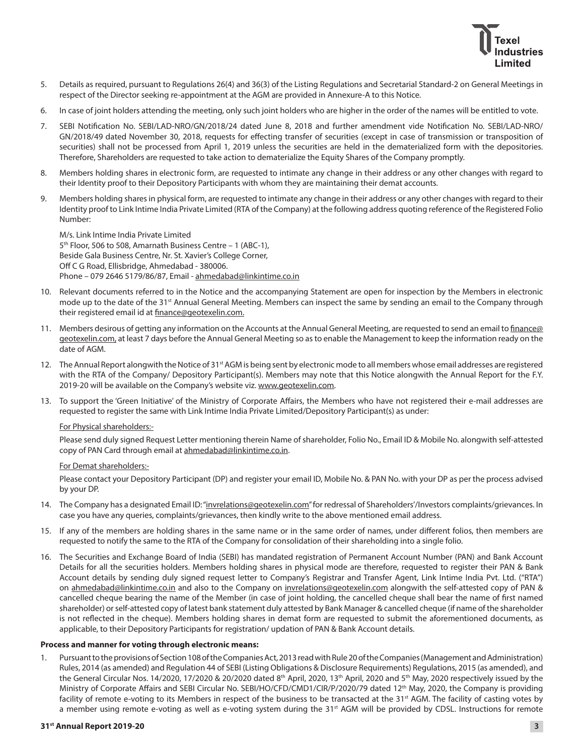

- 5. Details as required, pursuant to Regulations 26(4) and 36(3) of the Listing Regulations and Secretarial Standard-2 on General Meetings in respect of the Director seeking re-appointment at the AGM are provided in Annexure-A to this Notice.
- 6. In case of joint holders attending the meeting, only such joint holders who are higher in the order of the names will be entitled to vote.
- 7. SEBI Notification No. SEBI/LAD-NRO/GN/2018/24 dated June 8, 2018 and further amendment vide Notification No. SEBI/LAD-NRO/ GN/2018/49 dated November 30, 2018, requests for effecting transfer of securities (except in case of transmission or transposition of securities) shall not be processed from April 1, 2019 unless the securities are held in the dematerialized form with the depositories. Therefore, Shareholders are requested to take action to dematerialize the Equity Shares of the Company promptly.
- 8. Members holding shares in electronic form, are requested to intimate any change in their address or any other changes with regard to their Identity proof to their Depository Participants with whom they are maintaining their demat accounts.
- 9. Members holding shares in physical form, are requested to intimate any change in their address or any other changes with regard to their Identity proof to Link Intime India Private Limited (RTA of the Company) at the following address quoting reference of the Registered Folio Number:

M/s. Link Intime India Private Limited  $5<sup>th</sup>$  Floor, 506 to 508, Amarnath Business Centre – 1 (ABC-1), Beside Gala Business Centre, Nr. St. Xavier's College Corner, Off C G Road, Ellisbridge, Ahmedabad - 380006. Phone – 079 2646 5179/86/87, Email - [ahmedabad@linkintime.co.in](mailto:ahmedabad@linkintime.co.in)

- 10. Relevant documents referred to in the Notice and the accompanying Statement are open for inspection by the Members in electronic mode up to the date of the 31<sup>st</sup> Annual General Meeting. Members can inspect the same by sending an email to the Company through their registered email id at [finance@geotexelin.com](mailto:finance@geotexelin.com).
- 11. Members desirous of getting any information on the Accounts at the Annual General Meeting, are requested to send an email to [finance@](mailto:finance@geotexelin.com) [geotexelin.com](mailto:finance@geotexelin.com), at least 7 days before the Annual General Meeting so as to enable the Management to keep the information ready on the date of AGM.
- 12. The Annual Report alongwith the Notice of 31<sup>st</sup> AGM is being sent by electronic mode to all members whose email addresses are registered with the RTA of the Company/ Depository Participant(s). Members may note that this Notice alongwith the Annual Report for the F.Y. 2019-20 will be available on the Company's website viz. [www.geotexelin.com](http://www.geotexelin.com).
- 13. To support the 'Green Initiative' of the Ministry of Corporate Affairs, the Members who have not registered their e-mail addresses are requested to register the same with Link Intime India Private Limited/Depository Participant(s) as under:

### For Physical shareholders:-

Please send duly signed Request Letter mentioning therein Name of shareholder, Folio No., Email ID & Mobile No. alongwith self-attested copy of PAN Card through email at [ahmedabad@linkintime.co.in](mailto:ahmedabad@linkintime.co.in).

### For Demat shareholders:-

Please contact your Depository Participant (DP) and register your email ID, Mobile No. & PAN No. with your DP as per the process advised by your DP.

- 14. The Company has a designated Email ID: ["invrelations@geotexelin.com"](mailto:invrelations@geotexelin.com) for redressal of Shareholders'/Investors complaints/grievances. In case you have any queries, complaints/grievances, then kindly write to the above mentioned email address.
- 15. If any of the members are holding shares in the same name or in the same order of names, under different folios, then members are requested to notify the same to the RTA of the Company for consolidation of their shareholding into a single folio.
- 16. The Securities and Exchange Board of India (SEBI) has mandated registration of Permanent Account Number (PAN) and Bank Account Details for all the securities holders. Members holding shares in physical mode are therefore, requested to register their PAN & Bank Account details by sending duly signed request letter to Company's Registrar and Transfer Agent, Link Intime India Pvt. Ltd. ("RTA") on [ahmedabad@linkintime.co.in](mailto:ahmedabad@linkintime.co.in) and also to the Company on [invrelations@geotexelin.com](mailto:invrelations@geotexelin.com) alongwith the self-attested copy of PAN & cancelled cheque bearing the name of the Member (in case of joint holding, the cancelled cheque shall bear the name of first named shareholder) or self-attested copy of latest bank statement duly attested by Bank Manager & cancelled cheque (if name of the shareholder is not reflected in the cheque). Members holding shares in demat form are requested to submit the aforementioned documents, as applicable, to their Depository Participants for registration/ updation of PAN & Bank Account details.

## **Process and manner for voting through electronic means:**

1. Pursuant to the provisions of Section 108 of the Companies Act, 2013 read with Rule 20 of the Companies (Management and Administration) Rules, 2014 (as amended) and Regulation 44 of SEBI (Listing Obligations & Disclosure Requirements) Regulations, 2015 (as amended), and the General Circular Nos. 14/2020, 17/2020 & 20/2020 dated 8<sup>th</sup> April, 2020, 13<sup>th</sup> April, 2020 and 5<sup>th</sup> May, 2020 respectively issued by the Ministry of Corporate Affairs and SEBI Circular No. SEBI/HO/CFD/CMD1/CIR/P/2020/79 dated 12th May, 2020, the Company is providing facility of remote e-voting to its Members in respect of the business to be transacted at the 31<sup>st</sup> AGM. The facility of casting votes by a member using remote e-voting as well as e-voting system during the 31<sup>st</sup> AGM will be provided by CDSL. Instructions for remote

### **31st Annual Report 2019-20 3**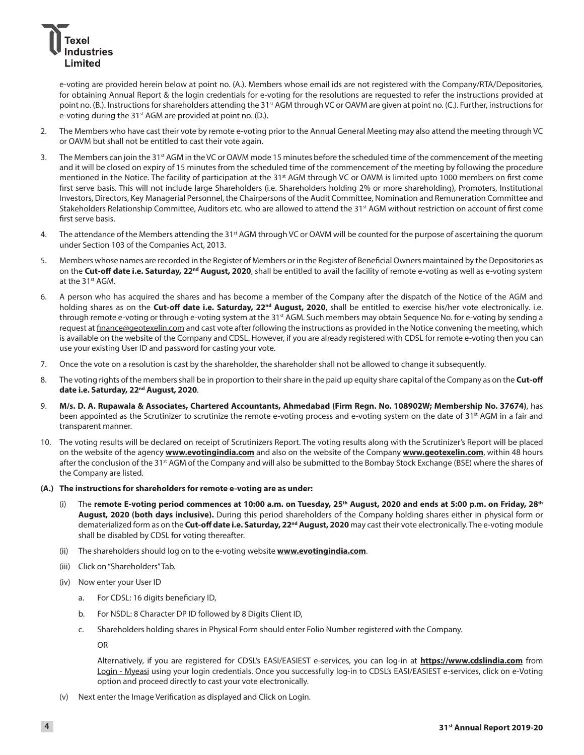# dustries Limited

e-voting are provided herein below at point no. (A.). Members whose email ids are not registered with the Company/RTA/Depositories, for obtaining Annual Report & the login credentials for e-voting for the resolutions are requested to refer the instructions provided at point no. (B.). Instructions for shareholders attending the 31<sup>st</sup> AGM through VC or OAVM are given at point no. (C.). Further, instructions for e-voting during the 31<sup>st</sup> AGM are provided at point no. (D.).

- 2. The Members who have cast their vote by remote e-voting prior to the Annual General Meeting may also attend the meeting through VC or OAVM but shall not be entitled to cast their vote again.
- 3. The Members can join the 31<sup>st</sup> AGM in the VC or OAVM mode 15 minutes before the scheduled time of the commencement of the meeting and it will be closed on expiry of 15 minutes from the scheduled time of the commencement of the meeting by following the procedure mentioned in the Notice. The facility of participation at the 31<sup>st</sup> AGM through VC or OAVM is limited upto 1000 members on first come first serve basis. This will not include large Shareholders (i.e. Shareholders holding 2% or more shareholding), Promoters, Institutional Investors, Directors, Key Managerial Personnel, the Chairpersons of the Audit Committee, Nomination and Remuneration Committee and Stakeholders Relationship Committee, Auditors etc. who are allowed to attend the 31<sup>st</sup> AGM without restriction on account of first come first serve basis.
- 4. The attendance of the Members attending the 31<sup>st</sup> AGM through VC or OAVM will be counted for the purpose of ascertaining the quorum under Section 103 of the Companies Act, 2013.
- 5. Members whose names are recorded in the Register of Members or in the Register of Beneficial Owners maintained by the Depositories as on the **Cut-off date i.e. Saturday, 22nd August, 2020**, shall be entitled to avail the facility of remote e-voting as well as e-voting system at the 31<sup>st</sup> AGM.
- 6. A person who has acquired the shares and has become a member of the Company after the dispatch of the Notice of the AGM and holding shares as on the **Cut-off date i.e. Saturday, 22<sup>nd</sup> August, 2020**, shall be entitled to exercise his/her vote electronically. i.e. through remote e-voting or through e-voting system at the 31<sup>st</sup> AGM. Such members may obtain Sequence No. for e-voting by sending a request at [finance@geotexelin.com](mailto:finance@geotexelin.com) and cast vote after following the instructions as provided in the Notice convening the meeting, which is available on the website of the Company and CDSL. However, if you are already registered with CDSL for remote e-voting then you can use your existing User ID and password for casting your vote.
- 7. Once the vote on a resolution is cast by the shareholder, the shareholder shall not be allowed to change it subsequently.
- 8. The voting rights of the members shall be in proportion to their share in the paid up equity share capital of the Company as on the **Cut-off date i.e. Saturday, 22nd August, 2020**.
- 9. **M/s. D. A. Rupawala & Associates, Chartered Accountants, Ahmedabad (Firm Regn. No. 108902W; Membership No. 37674)**, has been appointed as the Scrutinizer to scrutinize the remote e-voting process and e-voting system on the date of 31<sup>st</sup> AGM in a fair and transparent manner.
- 10. The voting results will be declared on receipt of Scrutinizers Report. The voting results along with the Scrutinizer's Report will be placed on the website of the agency **[www.evotingindia.com](http://www.evotingindia.com)** and also on the website of the Company **[www.geotexelin.com](http://www.geotexelin.com)**, within 48 hours after the conclusion of the 31<sup>st</sup> AGM of the Company and will also be submitted to the Bombay Stock Exchange (BSE) where the shares of the Company are listed.
- **(A.) The instructions for shareholders for remote e-voting are as under:**
	- (i) The **remote E-voting period commences at 10:00 a.m. on Tuesday, 25th August, 2020 and ends at 5:00 p.m. on Friday, 28th August, 2020 (both days inclusive).** During this period shareholders of the Company holding shares either in physical form or dematerialized form as on the **Cut-off date i.e. Saturday, 22nd August, 2020** may cast their vote electronically. The e-voting module shall be disabled by CDSL for voting thereafter.
	- (ii) The shareholders should log on to the e-voting website **[www.evotingindia.com](http://www.evotingindia.com)**.
	- (iii) Click on "Shareholders" Tab.
	- (iv) Now enter your User ID
		- a. For CDSL: 16 digits beneficiary ID,
		- b. For NSDL: 8 Character DP ID followed by 8 Digits Client ID,
		- c. Shareholders holding shares in Physical Form should enter Folio Number registered with the Company.

OR

 Alternatively, if you are registered for CDSL's EASI/EASIEST e-services, you can log-in at **<https://www.cdslindia.com>** from [Login - Myeasi](file:///C:\Users\UTPAL\Downloads\Login�-�Myeasi) using your login credentials. Once you successfully log-in to CDSL's EASI/EASIEST e-services, click on e-Voting option and proceed directly to cast your vote electronically.

(v) Next enter the Image Verification as displayed and Click on Login.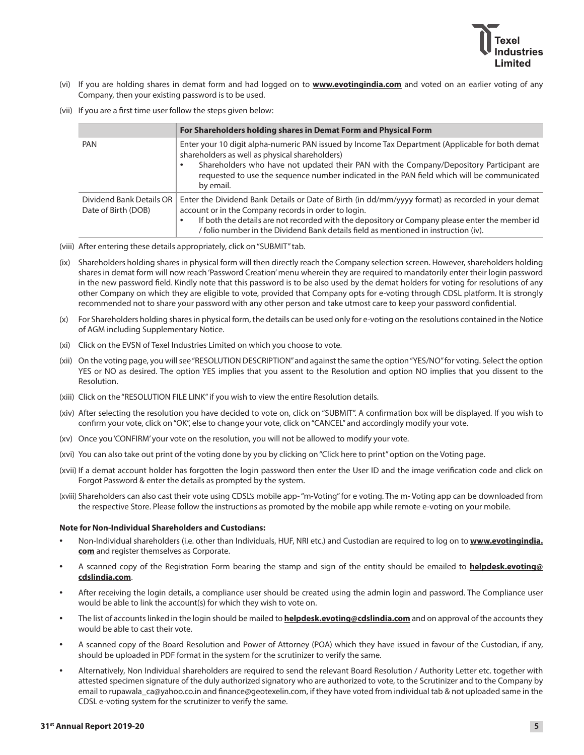

- (vi) If you are holding shares in demat form and had logged on to **[www.evotingindia.com](http://www.evotingindia.com)** and voted on an earlier voting of any Company, then your existing password is to be used.
- (vii) If you are a first time user follow the steps given below:

|                                                 | For Shareholders holding shares in Demat Form and Physical Form                                                                                                                                                                                                                                                                                          |  |
|-------------------------------------------------|----------------------------------------------------------------------------------------------------------------------------------------------------------------------------------------------------------------------------------------------------------------------------------------------------------------------------------------------------------|--|
| PAN                                             | Enter your 10 digit alpha-numeric PAN issued by Income Tax Department (Applicable for both demat<br>shareholders as well as physical shareholders)<br>Shareholders who have not updated their PAN with the Company/Depository Participant are<br>requested to use the sequence number indicated in the PAN field which will be communicated<br>by email. |  |
| Dividend Bank Details OR<br>Date of Birth (DOB) | Enter the Dividend Bank Details or Date of Birth (in dd/mm/yyyy format) as recorded in your demat<br>account or in the Company records in order to login.<br>If both the details are not recorded with the depository or Company please enter the member id<br>/ folio number in the Dividend Bank details field as mentioned in instruction (iv).       |  |

- (viii) After entering these details appropriately, click on "SUBMIT" tab.
- (ix) Shareholders holding shares in physical form will then directly reach the Company selection screen. However, shareholders holding shares in demat form will now reach 'Password Creation' menu wherein they are required to mandatorily enter their login password in the new password field. Kindly note that this password is to be also used by the demat holders for voting for resolutions of any other Company on which they are eligible to vote, provided that Company opts for e-voting through CDSL platform. It is strongly recommended not to share your password with any other person and take utmost care to keep your password confidential.
- (x) For Shareholders holding shares in physical form, the details can be used only for e-voting on the resolutions contained in the Notice of AGM including Supplementary Notice.
- (xi) Click on the EVSN of Texel Industries Limited on which you choose to vote.
- (xii) On the voting page, you will see "RESOLUTION DESCRIPTION" and against the same the option "YES/NO" for voting. Select the option YES or NO as desired. The option YES implies that you assent to the Resolution and option NO implies that you dissent to the Resolution.
- (xiii) Click on the "RESOLUTION FILE LINK" if you wish to view the entire Resolution details.
- (xiv) After selecting the resolution you have decided to vote on, click on "SUBMIT". A confirmation box will be displayed. If you wish to confirm your vote, click on "OK", else to change your vote, click on "CANCEL" and accordingly modify your vote.
- (xv) Once you 'CONFIRM' your vote on the resolution, you will not be allowed to modify your vote.
- (xvi) You can also take out print of the voting done by you by clicking on "Click here to print" option on the Voting page.
- (xvii) If a demat account holder has forgotten the login password then enter the User ID and the image verification code and click on Forgot Password & enter the details as prompted by the system.
- (xviii) Shareholders can also cast their vote using CDSL's mobile app- "m-Voting" for e voting. The m- Voting app can be downloaded from the respective Store. Please follow the instructions as promoted by the mobile app while remote e-voting on your mobile.

### **Note for Non-Individual Shareholders and Custodians:**

- Non-Individual shareholders (i.e. other than Individuals, HUF, NRI etc.) and Custodian are required to log on to **[www.evotingindia.](http://www.evotingindia.com) [com](http://www.evotingindia.com)** and register themselves as Corporate.
- A scanned copy of the Registration Form bearing the stamp and sign of the entity should be emailed to **[helpdesk.evoting@](mailto:helpdesk.evoting@cdslindia.com) [cdslindia.com](mailto:helpdesk.evoting@cdslindia.com)**.
- After receiving the login details, a compliance user should be created using the admin login and password. The Compliance user would be able to link the account(s) for which they wish to vote on.
- The list of accounts linked in the login should be mailed to **[helpdesk.evoting@cdslindia.com](mailto:helpdesk.evoting@cdslindia.com)** and on approval of the accounts they would be able to cast their vote.
- A scanned copy of the Board Resolution and Power of Attorney (POA) which they have issued in favour of the Custodian, if any, should be uploaded in PDF format in the system for the scrutinizer to verify the same.
- Alternatively, Non Individual shareholders are required to send the relevant Board Resolution / Authority Letter etc. together with attested specimen signature of the duly authorized signatory who are authorized to vote, to the Scrutinizer and to the Company by email to [rupawala\\_ca@yahoo.co.in](mailto:rupawala_ca@yahoo.co.in) and [finance@geotexelin.com](mailto:finance@geotexelin.com), if they have voted from individual tab & not uploaded same in the CDSL e-voting system for the scrutinizer to verify the same.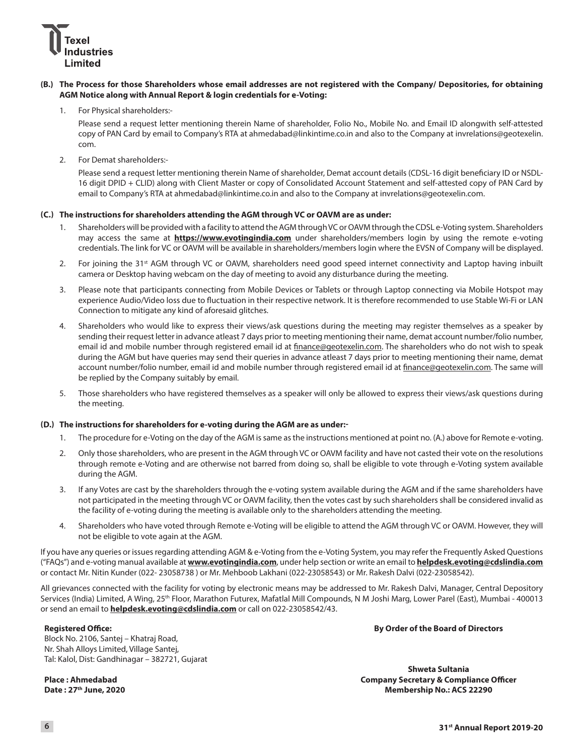

# **(B.) The Process for those Shareholders whose email addresses are not registered with the Company/ Depositories, for obtaining AGM Notice along with Annual Report & login credentials for e-Voting:**

1. For Physical shareholders:-

Please send a request letter mentioning therein Name of shareholder, Folio No., Mobile No. and Email ID alongwith self-attested copy of PAN Card by email to Company's RTA at [ahmedabad@linkintime.co.in](mailto:ahmedabad@linkintime.co.in) and also to the Company at [invrelations@geotexelin.](mailto:invrelations@geotexelin.com) [com.](mailto:invrelations@geotexelin.com)

2. For Demat shareholders:-

 Please send a request letter mentioning therein Name of shareholder, Demat account details (CDSL-16 digit beneficiary ID or NSDL-16 digit DPID + CLID) along with Client Master or copy of Consolidated Account Statement and self-attested copy of PAN Card by email to Company's RTA at [ahmedabad@linkintime.co.in](mailto:ahmedabad@linkintime.co.in) and also to the Company at [invrelations@geotexelin.com.](mailto:invrelations@geotexelin.com)

### **(C.) The instructions for shareholders attending the AGM through VC or OAVM are as under:**

- 1. Shareholders will be provided with a facility to attend the AGM through VC or OAVM through the CDSL e-Voting system. Shareholders may access the same at **<https://www.evotingindia.com>** under shareholders/members login by using the remote e-voting credentials. The link for VC or OAVM will be available in shareholders/members login where the EVSN of Company will be displayed.
- 2. For joining the 31<sup>st</sup> AGM through VC or OAVM, shareholders need good speed internet connectivity and Laptop having inbuilt camera or Desktop having webcam on the day of meeting to avoid any disturbance during the meeting.
- 3. Please note that participants connecting from Mobile Devices or Tablets or through Laptop connecting via Mobile Hotspot may experience Audio/Video loss due to fluctuation in their respective network. It is therefore recommended to use Stable Wi-Fi or LAN Connection to mitigate any kind of aforesaid glitches.
- 4. Shareholders who would like to express their views/ask questions during the meeting may register themselves as a speaker by sending their request letter in advance atleast 7 days prior to meeting mentioning their name, demat account number/folio number, email id and mobile number through registered email id at [finance@geotexelin.com](mailto:finance@geotexelin.com). The shareholders who do not wish to speak during the AGM but have queries may send their queries in advance atleast 7 days prior to meeting mentioning their name, demat account number/folio number, email id and mobile number through registered email id at [finance@geotexelin.com.](mailto:finance@geotexelin.com) The same will be replied by the Company suitably by email.
- 5. Those shareholders who have registered themselves as a speaker will only be allowed to express their views/ask questions during the meeting.

### **(D.) The instructions for shareholders for e-voting during the AGM are as under:-**

- 1. The procedure for e-Voting on the day of the AGM is same as the instructions mentioned at point no. (A.) above for Remote e-voting.
- 2. Only those shareholders, who are present in the AGM through VC or OAVM facility and have not casted their vote on the resolutions through remote e-Voting and are otherwise not barred from doing so, shall be eligible to vote through e-Voting system available during the AGM.
- 3. If any Votes are cast by the shareholders through the e-voting system available during the AGM and if the same shareholders have not participated in the meeting through VC or OAVM facility, then the votes cast by such shareholders shall be considered invalid as the facility of e-voting during the meeting is available only to the shareholders attending the meeting.
- 4. Shareholders who have voted through Remote e-Voting will be eligible to attend the AGM through VC or OAVM. However, they will not be eligible to vote again at the AGM.

If you have any queries or issues regarding attending AGM & e-Voting from the e-Voting System, you may refer the Frequently Asked Questions ("FAQs") and e-voting manual available at **[www.evotingindia.com](http://www.evotingindia.com)**, under help section or write an email to **[helpdesk.evoting@cdslindia.com](mailto:helpdesk.evoting@cdslindia.com)** or contact Mr. Nitin Kunder (022- 23058738 ) or Mr. Mehboob Lakhani (022-23058543) or Mr. Rakesh Dalvi (022-23058542).

All grievances connected with the facility for voting by electronic means may be addressed to Mr. Rakesh Dalvi, Manager, Central Depository Services (India) Limited, A Wing, 25<sup>th</sup> Floor, Marathon Futurex, Mafatlal Mill Compounds, N M Joshi Marg, Lower Parel (East), Mumbai - 400013 or send an email to **[helpdesk.evoting@cdslindia.com](mailto:helpdesk.evoting@cdslindia.com)** or call on 022-23058542/43.

### **Registered Office:**

Block No. 2106, Santej – Khatraj Road, Nr. Shah Alloys Limited, Village Santej, Tal: Kalol, Dist: Gandhinagar – 382721, Gujarat

**Place : Ahmedabad Date : 27th June, 2020** **By Order of the Board of Directors**

**Shweta Sultania Company Secretary & Compliance Officer Membership No.: ACS 22290**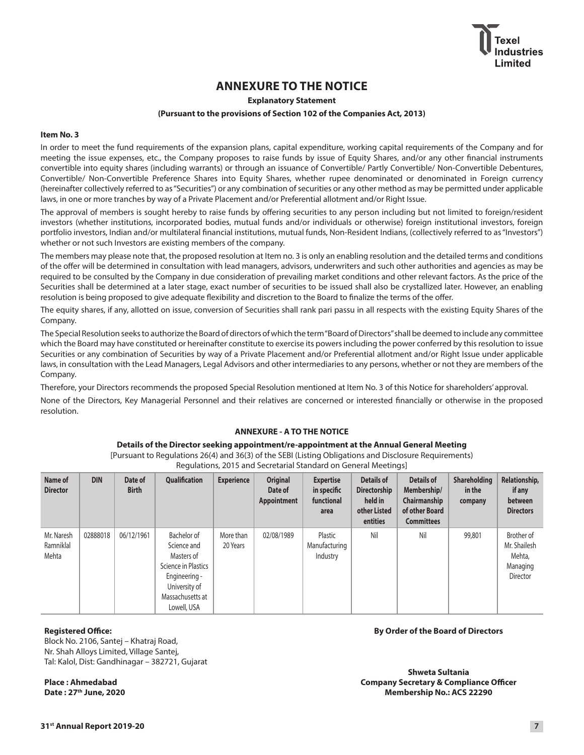# **ANNEXURE TO THE NOTICE**

# **Explanatory Statement**

#### **(Pursuant to the provisions of Section 102 of the Companies Act, 2013)**

## **Item No. 3**

In order to meet the fund requirements of the expansion plans, capital expenditure, working capital requirements of the Company and for meeting the issue expenses, etc., the Company proposes to raise funds by issue of Equity Shares, and/or any other financial instruments convertible into equity shares (including warrants) or through an issuance of Convertible/ Partly Convertible/ Non-Convertible Debentures, Convertible/ Non-Convertible Preference Shares into Equity Shares, whether rupee denominated or denominated in Foreign currency (hereinafter collectively referred to as "Securities") or any combination of securities or any other method as may be permitted under applicable laws, in one or more tranches by way of a Private Placement and/or Preferential allotment and/or Right Issue.

The approval of members is sought hereby to raise funds by offering securities to any person including but not limited to foreign/resident investors (whether institutions, incorporated bodies, mutual funds and/or individuals or otherwise) foreign institutional investors, foreign portfolio investors, Indian and/or multilateral financial institutions, mutual funds, Non-Resident Indians, (collectively referred to as "Investors") whether or not such Investors are existing members of the company.

The members may please note that, the proposed resolution at Item no. 3 is only an enabling resolution and the detailed terms and conditions of the offer will be determined in consultation with lead managers, advisors, underwriters and such other authorities and agencies as may be required to be consulted by the Company in due consideration of prevailing market conditions and other relevant factors. As the price of the Securities shall be determined at a later stage, exact number of securities to be issued shall also be crystallized later. However, an enabling resolution is being proposed to give adequate flexibility and discretion to the Board to finalize the terms of the offer.

The equity shares, if any, allotted on issue, conversion of Securities shall rank pari passu in all respects with the existing Equity Shares of the Company.

The Special Resolution seeks to authorize the Board of directors of which the term "Board of Directors" shall be deemed to include any committee which the Board may have constituted or hereinafter constitute to exercise its powers including the power conferred by this resolution to issue Securities or any combination of Securities by way of a Private Placement and/or Preferential allotment and/or Right Issue under applicable laws, in consultation with the Lead Managers, Legal Advisors and other intermediaries to any persons, whether or not they are members of the Company.

Therefore, your Directors recommends the proposed Special Resolution mentioned at Item No. 3 of this Notice for shareholders' approval.

None of the Directors, Key Managerial Personnel and their relatives are concerned or interested financially or otherwise in the proposed resolution.

# **ANNEXURE - A TO THE NOTICE**

#### **Details of the Director seeking appointment/re-appointment at the Annual General Meeting**

[Pursuant to Regulations 26(4) and 36(3) of the SEBI (Listing Obligations and Disclosure Requirements) Regulations, 2015 and Secretarial Standard on General Meetings]

| Name of<br><b>Director</b>       | <b>DIN</b> | Date of<br><b>Birth</b> | <b>Qualification</b>                                                                                                                 | <b>Experience</b>     | <b>Original</b><br>Date of<br>Appointment | <b>Expertise</b><br>in specific<br>functional<br>area | <b>Details of</b><br><b>Directorship</b><br>held in<br>other Listed<br>entities | <b>Details of</b><br>Membership/<br>Chairmanship<br>of other Board<br><b>Committees</b> | <b>Shareholding</b><br>in the<br>company | Relationship,<br>if any<br>between<br><b>Directors</b>       |
|----------------------------------|------------|-------------------------|--------------------------------------------------------------------------------------------------------------------------------------|-----------------------|-------------------------------------------|-------------------------------------------------------|---------------------------------------------------------------------------------|-----------------------------------------------------------------------------------------|------------------------------------------|--------------------------------------------------------------|
| Mr. Naresh<br>Ramniklal<br>Mehta | 02888018   | 06/12/1961              | Bachelor of<br>Science and<br>Masters of<br>Science in Plastics<br>Engineering -<br>University of<br>Massachusetts at<br>Lowell, USA | More than<br>20 Years | 02/08/1989                                | Plastic<br>Manufacturing<br>Industry                  | Nil                                                                             | Nil                                                                                     | 99,801                                   | Brother of<br>Mr. Shailesh<br>Mehta,<br>Managing<br>Director |

#### **Registered Office:**

Block No. 2106, Santej – Khatraj Road, Nr. Shah Alloys Limited, Village Santej, Tal: Kalol, Dist: Gandhinagar – 382721, Gujarat

**Place : Ahmedabad Date : 27th June, 2020**

#### **By Order of the Board of Directors**

**Shweta Sultania Company Secretary & Compliance Officer Membership No.: ACS 22290**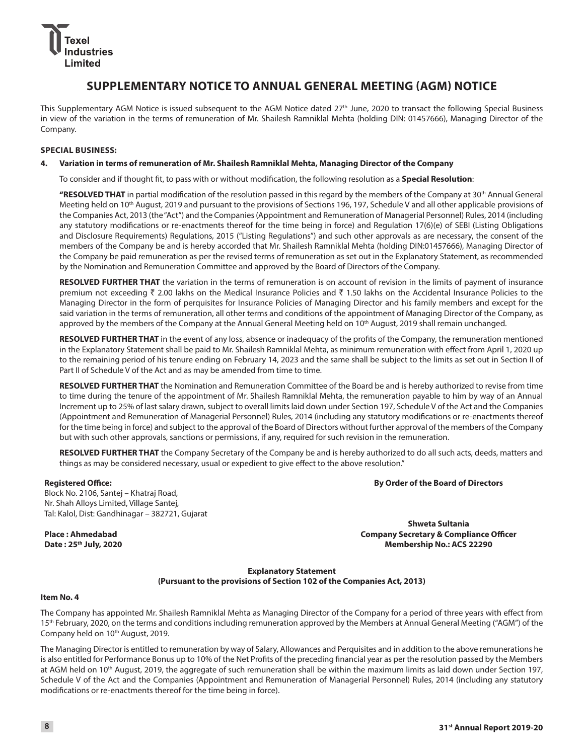# ustries l imited

# **SUPPLEMENTARY NOTICE TO ANNUAL GENERAL MEETING (AGM) NOTICE**

This Supplementary AGM Notice is issued subsequent to the AGM Notice dated 27<sup>th</sup> June, 2020 to transact the following Special Business in view of the variation in the terms of remuneration of Mr. Shailesh Ramniklal Mehta (holding DIN: 01457666), Managing Director of the Company.

# **SPECIAL BUSINESS:**

# **4. Variation in terms of remuneration of Mr. Shailesh Ramniklal Mehta, Managing Director of the Company**

To consider and if thought fit, to pass with or without modification, the following resolution as a **Special Resolution**:

 **"RESOLVED THAT** in partial modification of the resolution passed in this regard by the members of the Company at 30th Annual General Meeting held on 10th August, 2019 and pursuant to the provisions of Sections 196, 197, Schedule V and all other applicable provisions of the Companies Act, 2013 (the "Act") and the Companies (Appointment and Remuneration of Managerial Personnel) Rules, 2014 (including any statutory modifications or re-enactments thereof for the time being in force) and Regulation 17(6)(e) of SEBI (Listing Obligations and Disclosure Requirements) Regulations, 2015 ("Listing Regulations") and such other approvals as are necessary, the consent of the members of the Company be and is hereby accorded that Mr. Shailesh Ramniklal Mehta (holding DIN:01457666), Managing Director of the Company be paid remuneration as per the revised terms of remuneration as set out in the Explanatory Statement, as recommended by the Nomination and Remuneration Committee and approved by the Board of Directors of the Company.

**RESOLVED FURTHER THAT** the variation in the terms of remuneration is on account of revision in the limits of payment of insurance premium not exceeding  $\bar{z}$  2.00 lakhs on the Medical Insurance Policies and  $\bar{z}$  1.50 lakhs on the Accidental Insurance Policies to the Managing Director in the form of perquisites for Insurance Policies of Managing Director and his family members and except for the said variation in the terms of remuneration, all other terms and conditions of the appointment of Managing Director of the Company, as approved by the members of the Company at the Annual General Meeting held on 10<sup>th</sup> August, 2019 shall remain unchanged.

**RESOLVED FURTHER THAT** in the event of any loss, absence or inadequacy of the profits of the Company, the remuneration mentioned in the Explanatory Statement shall be paid to Mr. Shailesh Ramniklal Mehta, as minimum remuneration with effect from April 1, 2020 up to the remaining period of his tenure ending on February 14, 2023 and the same shall be subject to the limits as set out in Section II of Part II of Schedule V of the Act and as may be amended from time to time.

**RESOLVED FURTHER THAT** the Nomination and Remuneration Committee of the Board be and is hereby authorized to revise from time to time during the tenure of the appointment of Mr. Shailesh Ramniklal Mehta, the remuneration payable to him by way of an Annual Increment up to 25% of last salary drawn, subject to overall limits laid down under Section 197, Schedule V of the Act and the Companies (Appointment and Remuneration of Managerial Personnel) Rules, 2014 (including any statutory modifications or re-enactments thereof for the time being in force) and subject to the approval of the Board of Directors without further approval of the members of the Company but with such other approvals, sanctions or permissions, if any, required for such revision in the remuneration.

**RESOLVED FURTHER THAT** the Company Secretary of the Company be and is hereby authorized to do all such acts, deeds, matters and things as may be considered necessary, usual or expedient to give effect to the above resolution."

# **Registered Office:**

**By Order of the Board of Directors**

Block No. 2106, Santej – Khatraj Road, Nr. Shah Alloys Limited, Village Santej, Tal: Kalol, Dist: Gandhinagar – 382721, Gujarat

**Place : Ahmedabad Date : 25th July, 2020**

**Shweta Sultania Company Secretary & Compliance Officer Membership No.: ACS 22290**

# **Explanatory Statement (Pursuant to the provisions of Section 102 of the Companies Act, 2013)**

### **Item No. 4**

The Company has appointed Mr. Shailesh Ramniklal Mehta as Managing Director of the Company for a period of three years with effect from 15<sup>th</sup> February, 2020, on the terms and conditions including remuneration approved by the Members at Annual General Meeting ("AGM") of the Company held on 10<sup>th</sup> August, 2019.

The Managing Director is entitled to remuneration by way of Salary, Allowances and Perquisites and in addition to the above remunerations he is also entitled for Performance Bonus up to 10% of the Net Profits of the preceding financial year as per the resolution passed by the Members at AGM held on 10<sup>th</sup> August, 2019, the aggregate of such remuneration shall be within the maximum limits as laid down under Section 197, Schedule V of the Act and the Companies (Appointment and Remuneration of Managerial Personnel) Rules, 2014 (including any statutory modifications or re-enactments thereof for the time being in force).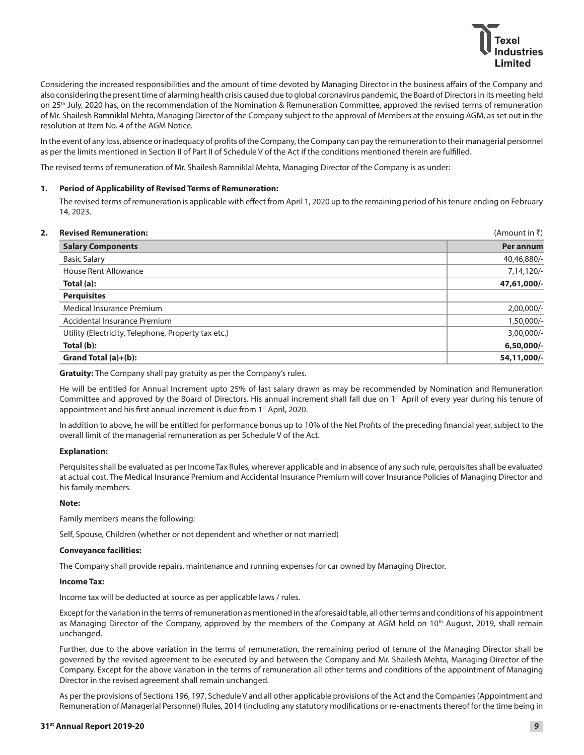

Considering the increased responsibilities and the amount of time devoted by Managing Director in the business affairs of the Company and also considering the present time of alarming health crisis caused due to global coronavirus pandemic, the Board of Directors in its meeting held on 25<sup>th</sup> July, 2020 has, on the recommendation of the Nomination & Remuneration Committee, approved the revised terms of remuneration of Mr. Shailesh Ramniklal Mehta, Managing Director of the Company subject to the approval of Members at the ensuing AGM, as set out in the resolution at Item No. 4 of the AGM Notice.

In the event of any loss, absence or inadequacy of profits of the Company, the Company can pay the remuneration to their managerial personnel as per the limits mentioned in Section II of Part II of Schedule V of the Act if the conditions mentioned therein are fulfilled.

The revised terms of remuneration of Mr. Shailesh Ramniklal Mehta, Managing Director of the Company is as under:

## **1. Period of Applicability of Revised Terms of Remuneration:**

 The revised terms of remuneration is applicable with effect from April 1, 2020 up to the remaining period of his tenure ending on February 14, 2023.

| <b>Revised Remuneration:</b>                        | (Amount in ₹) |
|-----------------------------------------------------|---------------|
| <b>Salary Components</b>                            | Per annum     |
| <b>Basic Salary</b>                                 | 40,46,880/-   |
| House Rent Allowance                                | 7,14,120/-    |
| Total (a):                                          | 47,61,000/-   |
| <b>Perquisites</b>                                  |               |
| Medical Insurance Premium                           | $2,00,000/-$  |
| Accidental Insurance Premium                        | 1,50,000/-    |
| Utility (Electricity, Telephone, Property tax etc.) | 3,00,000/-    |
| Total (b):                                          | 6,50,000/-    |
| Grand Total (a)+(b):                                | 54,11,000/-   |

**Gratuity:** The Company shall pay gratuity as per the Company's rules.

 He will be entitled for Annual Increment upto 25% of last salary drawn as may be recommended by Nomination and Remuneration Committee and approved by the Board of Directors. His annual increment shall fall due on 1<sup>st</sup> April of every year during his tenure of appointment and his first annual increment is due from 1<sup>st</sup> April, 2020.

 In addition to above, he will be entitled for performance bonus up to 10% of the Net Profits of the preceding financial year, subject to the overall limit of the managerial remuneration as per Schedule V of the Act.

### **Explanation:**

 Perquisites shall be evaluated as per Income Tax Rules, wherever applicable and in absence of any such rule, perquisites shall be evaluated at actual cost. The Medical Insurance Premium and Accidental Insurance Premium will cover Insurance Policies of Managing Director and his family members.

### **Note:**

Family members means the following:

Self, Spouse, Children (whether or not dependent and whether or not married)

### **Conveyance facilities:**

The Company shall provide repairs, maintenance and running expenses for car owned by Managing Director.

# **Income Tax:**

Income tax will be deducted at source as per applicable laws / rules.

 Except for the variation in the terms of remuneration as mentioned in the aforesaid table, all other terms and conditions of his appointment as Managing Director of the Company, approved by the members of the Company at AGM held on 10<sup>th</sup> August, 2019, shall remain unchanged.

 Further, due to the above variation in the terms of remuneration, the remaining period of tenure of the Managing Director shall be governed by the revised agreement to be executed by and between the Company and Mr. Shailesh Mehta, Managing Director of the Company. Except for the above variation in the terms of remuneration all other terms and conditions of the appointment of Managing Director in the revised agreement shall remain unchanged.

 As per the provisions of Sections 196, 197, Schedule V and all other applicable provisions of the Act and the Companies (Appointment and Remuneration of Managerial Personnel) Rules, 2014 (including any statutory modifications or re-enactments thereof for the time being in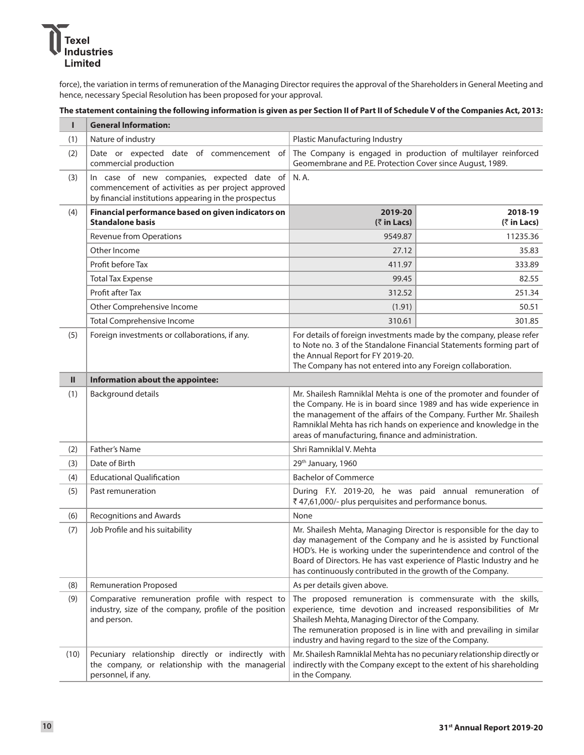

force), the variation in terms of remuneration of the Managing Director requires the approval of the Shareholders in General Meeting and hence, necessary Special Resolution has been proposed for your approval.

# **The statement containing the following information is given as per Section II of Part II of Schedule V of the Companies Act, 2013:**

| т             | <b>General Information:</b>                                                                                                                                        |                                                                                                                                                                                                                                                                                                                                                   |                                       |  |  |
|---------------|--------------------------------------------------------------------------------------------------------------------------------------------------------------------|---------------------------------------------------------------------------------------------------------------------------------------------------------------------------------------------------------------------------------------------------------------------------------------------------------------------------------------------------|---------------------------------------|--|--|
| (1)           | Nature of industry                                                                                                                                                 | <b>Plastic Manufacturing Industry</b>                                                                                                                                                                                                                                                                                                             |                                       |  |  |
| (2)           | Date or expected date of commencement of<br>commercial production                                                                                                  | The Company is engaged in production of multilayer reinforced<br>Geomembrane and P.E. Protection Cover since August, 1989.                                                                                                                                                                                                                        |                                       |  |  |
| (3)           | In case of new companies, expected date of<br>N. A.<br>commencement of activities as per project approved<br>by financial institutions appearing in the prospectus |                                                                                                                                                                                                                                                                                                                                                   |                                       |  |  |
| (4)           | Financial performance based on given indicators on<br><b>Standalone basis</b>                                                                                      | 2019-20<br>(₹ in Lacs)                                                                                                                                                                                                                                                                                                                            | 2018-19<br>$(3\overline{5})$ in Lacs) |  |  |
|               | <b>Revenue from Operations</b>                                                                                                                                     | 9549.87                                                                                                                                                                                                                                                                                                                                           | 11235.36                              |  |  |
|               | Other Income                                                                                                                                                       | 27.12                                                                                                                                                                                                                                                                                                                                             | 35.83                                 |  |  |
|               | Profit before Tax                                                                                                                                                  | 411.97                                                                                                                                                                                                                                                                                                                                            | 333.89                                |  |  |
|               | <b>Total Tax Expense</b>                                                                                                                                           | 99.45                                                                                                                                                                                                                                                                                                                                             | 82.55                                 |  |  |
|               | Profit after Tax                                                                                                                                                   | 312.52                                                                                                                                                                                                                                                                                                                                            | 251.34                                |  |  |
|               | Other Comprehensive Income                                                                                                                                         | (1.91)                                                                                                                                                                                                                                                                                                                                            | 50.51                                 |  |  |
|               | Total Comprehensive Income                                                                                                                                         | 310.61                                                                                                                                                                                                                                                                                                                                            | 301.85                                |  |  |
| (5)           | Foreign investments or collaborations, if any.                                                                                                                     | For details of foreign investments made by the company, please refer<br>to Note no. 3 of the Standalone Financial Statements forming part of<br>the Annual Report for FY 2019-20.<br>The Company has not entered into any Foreign collaboration.                                                                                                  |                                       |  |  |
| $\mathbf{II}$ | Information about the appointee:                                                                                                                                   |                                                                                                                                                                                                                                                                                                                                                   |                                       |  |  |
| (1)           | <b>Background details</b>                                                                                                                                          | Mr. Shailesh Ramniklal Mehta is one of the promoter and founder of<br>the Company. He is in board since 1989 and has wide experience in<br>the management of the affairs of the Company. Further Mr. Shailesh<br>Ramniklal Mehta has rich hands on experience and knowledge in the<br>areas of manufacturing, finance and administration.         |                                       |  |  |
| (2)           | Father's Name                                                                                                                                                      | Shri Ramniklal V. Mehta                                                                                                                                                                                                                                                                                                                           |                                       |  |  |
| (3)           | Date of Birth                                                                                                                                                      | 29th January, 1960                                                                                                                                                                                                                                                                                                                                |                                       |  |  |
| (4)           | <b>Educational Qualification</b>                                                                                                                                   | <b>Bachelor of Commerce</b>                                                                                                                                                                                                                                                                                                                       |                                       |  |  |
| (5)           | Past remuneration                                                                                                                                                  | During F.Y. 2019-20, he was paid annual remuneration of<br>₹47,61,000/- plus perquisites and performance bonus.                                                                                                                                                                                                                                   |                                       |  |  |
| (6)           | <b>Recognitions and Awards</b>                                                                                                                                     | None                                                                                                                                                                                                                                                                                                                                              |                                       |  |  |
| (7)           | Job Profile and his suitability                                                                                                                                    | Mr. Shailesh Mehta, Managing Director is responsible for the day to<br>day management of the Company and he is assisted by Functional<br>HOD's. He is working under the superintendence and control of the<br>Board of Directors. He has vast experience of Plastic Industry and he<br>has continuously contributed in the growth of the Company. |                                       |  |  |
| (8)           | <b>Remuneration Proposed</b>                                                                                                                                       | As per details given above.                                                                                                                                                                                                                                                                                                                       |                                       |  |  |
| (9)           | Comparative remuneration profile with respect to<br>industry, size of the company, profile of the position<br>and person.                                          | The proposed remuneration is commensurate with the skills,<br>experience, time devotion and increased responsibilities of Mr<br>Shailesh Mehta, Managing Director of the Company.<br>The remuneration proposed is in line with and prevailing in similar<br>industry and having regard to the size of the Company.                                |                                       |  |  |
| (10)          | Pecuniary relationship directly or indirectly with<br>the company, or relationship with the managerial<br>personnel, if any.                                       | Mr. Shailesh Ramniklal Mehta has no pecuniary relationship directly or<br>indirectly with the Company except to the extent of his shareholding<br>in the Company.                                                                                                                                                                                 |                                       |  |  |